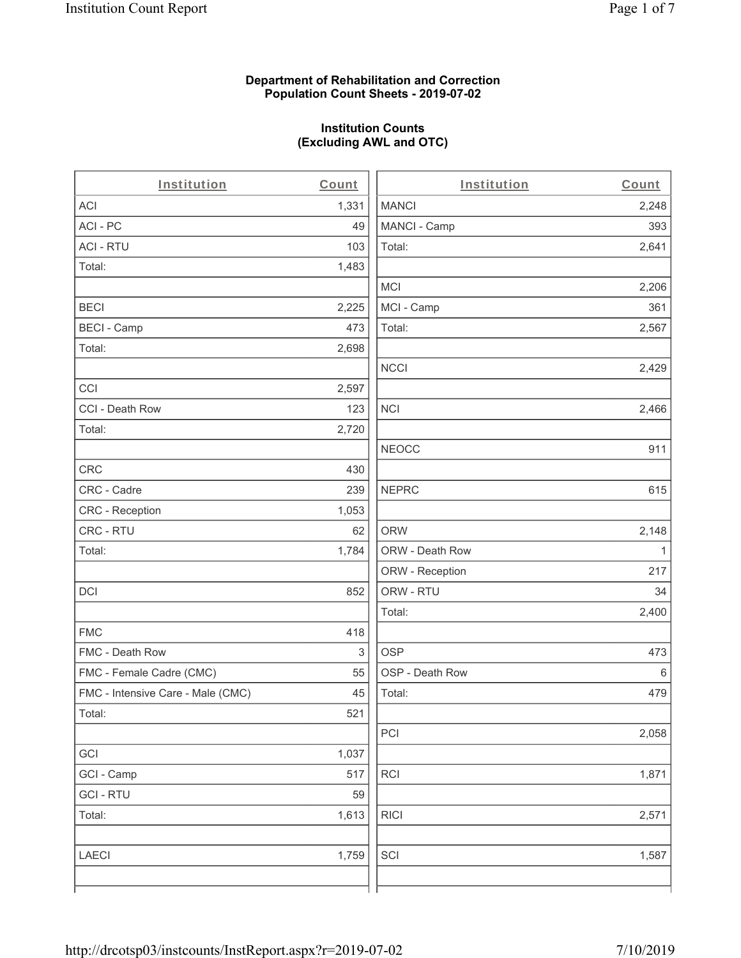#### **Department of Rehabilitation and Correction Population Count Sheets - 2019-07-02**

# **Institution Counts (Excluding AWL and OTC)**

| Institution                       | Count | Institution     | Count   |
|-----------------------------------|-------|-----------------|---------|
| <b>ACI</b>                        | 1,331 | <b>MANCI</b>    | 2,248   |
| ACI - PC                          | 49    | MANCI - Camp    | 393     |
| <b>ACI - RTU</b>                  | 103   | Total:          | 2,641   |
| Total:                            | 1,483 |                 |         |
|                                   |       | <b>MCI</b>      | 2,206   |
| <b>BECI</b>                       | 2,225 | MCI - Camp      | 361     |
| <b>BECI - Camp</b>                | 473   | Total:          | 2,567   |
| Total:                            | 2,698 |                 |         |
|                                   |       | <b>NCCI</b>     | 2,429   |
| CCI                               | 2,597 |                 |         |
| CCI - Death Row                   | 123   | <b>NCI</b>      | 2,466   |
| Total:                            | 2,720 |                 |         |
|                                   |       | <b>NEOCC</b>    | 911     |
| <b>CRC</b>                        | 430   |                 |         |
| CRC - Cadre                       | 239   | <b>NEPRC</b>    | 615     |
| CRC - Reception                   | 1,053 |                 |         |
| CRC - RTU                         | 62    | <b>ORW</b>      | 2,148   |
| Total:                            | 1,784 | ORW - Death Row | 1       |
|                                   |       | ORW - Reception | 217     |
| <b>DCI</b>                        | 852   | ORW - RTU       | 34      |
|                                   |       | Total:          | 2,400   |
| <b>FMC</b>                        | 418   |                 |         |
| FMC - Death Row                   | 3     | <b>OSP</b>      | 473     |
| FMC - Female Cadre (CMC)          | 55    | OSP - Death Row | $\,6\,$ |
| FMC - Intensive Care - Male (CMC) | 45    | Total:          | 479     |
| Total:                            | 521   |                 |         |
|                                   |       | PCI             | 2,058   |
| GCI                               | 1,037 |                 |         |
| GCI - Camp                        | 517   | RCI             | 1,871   |
| <b>GCI-RTU</b>                    | 59    |                 |         |
| Total:                            | 1,613 | <b>RICI</b>     | 2,571   |
|                                   |       |                 |         |
| <b>LAECI</b>                      | 1,759 | SCI             | 1,587   |
|                                   |       |                 |         |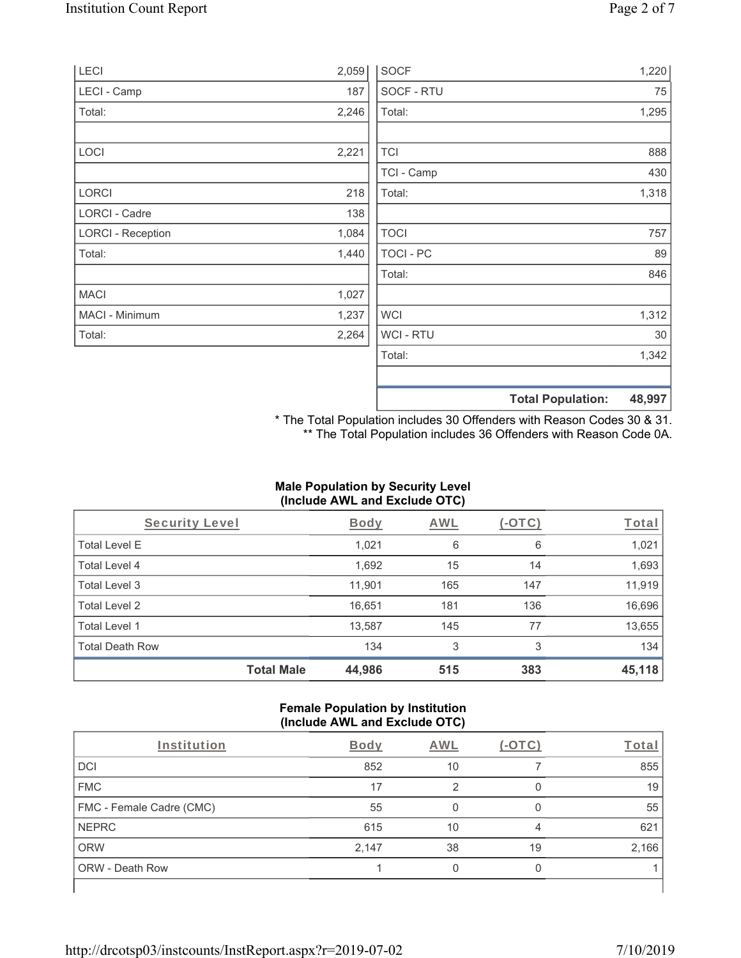| LECI                     | 2,059 | <b>SOCF</b> | 1,220                              |
|--------------------------|-------|-------------|------------------------------------|
| LECI - Camp              | 187   | SOCF - RTU  | 75                                 |
| Total:                   | 2,246 | Total:      | 1,295                              |
|                          |       |             |                                    |
| <b>LOCI</b>              | 2,221 | <b>TCI</b>  | 888                                |
|                          |       | TCI - Camp  | 430                                |
| LORCI                    | 218   | Total:      | 1,318                              |
| <b>LORCI - Cadre</b>     | 138   |             |                                    |
| <b>LORCI - Reception</b> | 1,084 | <b>TOCI</b> | 757                                |
| Total:                   | 1,440 | TOCI - PC   | 89                                 |
|                          |       | Total:      | 846                                |
| <b>MACI</b>              | 1,027 |             |                                    |
| MACI - Minimum           | 1,237 | <b>WCI</b>  | 1,312                              |
| Total:                   | 2,264 | WCI - RTU   | 30                                 |
|                          |       | Total:      | 1,342                              |
|                          |       |             |                                    |
|                          |       |             | 48,997<br><b>Total Population:</b> |

\* The Total Population includes 30 Offenders with Reason Codes 30 & 31. \*\* The Total Population includes 36 Offenders with Reason Code 0A.

## **Male Population by Security Level (Include AWL and Exclude OTC)**

| Security Level         |                   | <b>Body</b> | AWL | (-OTC) | Total  |
|------------------------|-------------------|-------------|-----|--------|--------|
| <b>Total Level E</b>   |                   | 1,021       | 6   | 6      | 1,021  |
| <b>Total Level 4</b>   |                   | 1,692       | 15  | 14     | 1,693  |
| Total Level 3          |                   | 11,901      | 165 | 147    | 11,919 |
| Total Level 2          |                   | 16,651      | 181 | 136    | 16,696 |
| Total Level 1          |                   | 13,587      | 145 | 77     | 13,655 |
| <b>Total Death Row</b> |                   | 134         | 3   | 3      | 134    |
|                        | <b>Total Male</b> | 44,986      | 515 | 383    | 45,118 |

#### **Female Population by Institution (Include AWL and Exclude OTC)**

| Institution              | <b>Body</b> | <b>AWL</b> | $-$ () | Total |
|--------------------------|-------------|------------|--------|-------|
| <b>DCI</b>               | 852         | 10         |        | 855   |
| <b>FMC</b>               | 17          | ာ          |        | 19    |
| FMC - Female Cadre (CMC) | 55          |            |        | 55    |
| <b>NEPRC</b>             | 615         | 10         | 4      | 621   |
| <b>ORW</b>               | 2,147       | 38         | 19     | 2,166 |
| <b>ORW - Death Row</b>   |             |            |        |       |
|                          |             |            |        |       |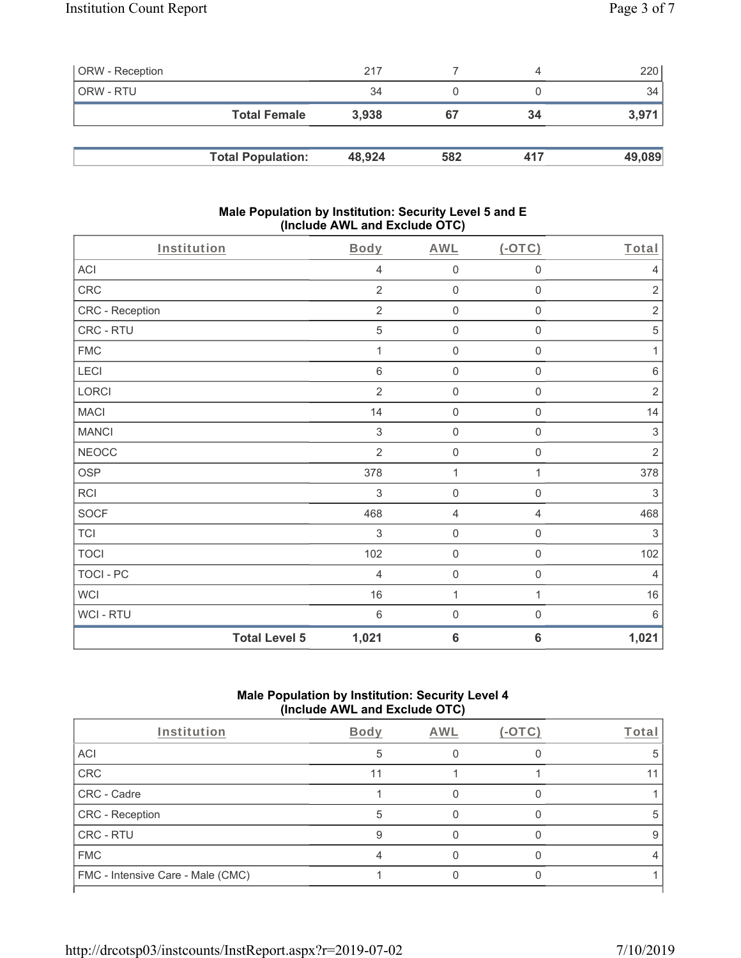| <b>ORW</b> - Reception |                          | 217    |     | 4   | 220    |
|------------------------|--------------------------|--------|-----|-----|--------|
| ORW - RTU              |                          | 34     |     |     | 34     |
|                        | <b>Total Female</b>      | 3.938  | 67  | 34  | 3,971  |
|                        |                          |        |     |     |        |
|                        | <b>Total Population:</b> | 48,924 | 582 | 417 | 49,089 |

#### **Male Population by Institution: Security Level 5 and E (Include AWL and Exclude OTC)**

| Institution      |                      | Body           | <b>AWL</b>          | $($ -OTC $)$        | Total                     |
|------------------|----------------------|----------------|---------------------|---------------------|---------------------------|
| ACI              |                      | 4              | $\mathsf{O}\xspace$ | $\mathsf{O}\xspace$ | $\overline{4}$            |
| CRC              |                      | $\overline{2}$ | $\mathsf{O}\xspace$ | $\mathsf{O}\xspace$ | $\sqrt{2}$                |
| CRC - Reception  |                      | $\sqrt{2}$     | $\mathsf 0$         | $\mathbf 0$         | $\sqrt{2}$                |
| CRC - RTU        |                      | 5              | $\mathsf{O}\xspace$ | $\mathsf{O}\xspace$ | 5                         |
| <b>FMC</b>       |                      | 1              | $\mathsf{O}\xspace$ | $\mathsf{O}\xspace$ | 1                         |
| LECI             |                      | $\,6\,$        | $\mathsf{O}\xspace$ | $\mathsf 0$         | $\,6\,$                   |
| LORCI            |                      | $\overline{2}$ | $\mathsf{O}\xspace$ | $\mathsf{O}\xspace$ | $\sqrt{2}$                |
| <b>MACI</b>      |                      | 14             | $\mathsf 0$         | $\mathsf{O}\xspace$ | 14                        |
| <b>MANCI</b>     |                      | $\sqrt{3}$     | $\mathsf 0$         | $\mathbf 0$         | $\ensuremath{\mathsf{3}}$ |
| <b>NEOCC</b>     |                      | $\overline{2}$ | $\mathsf{O}\xspace$ | $\mathsf{O}\xspace$ | $\sqrt{2}$                |
| <b>OSP</b>       |                      | 378            | 1                   | 1                   | 378                       |
| RCI              |                      | $\sqrt{3}$     | $\mathsf{O}\xspace$ | $\mathsf 0$         | $\sqrt{3}$                |
| <b>SOCF</b>      |                      | 468            | $\overline{4}$      | 4                   | 468                       |
| <b>TCI</b>       |                      | 3              | $\mathsf{O}\xspace$ | $\mathsf{O}\xspace$ | 3                         |
| <b>TOCI</b>      |                      | 102            | $\mathsf 0$         | $\mathsf{O}\xspace$ | 102                       |
| <b>TOCI - PC</b> |                      | 4              | $\mathsf 0$         | $\mathsf{O}\xspace$ | $\overline{4}$            |
| <b>WCI</b>       |                      | 16             | $\mathbf{1}$        | $\mathbf{1}$        | 16                        |
| WCI - RTU        |                      | $6\,$          | $\mathbf 0$         | $\boldsymbol{0}$    | $6\,$                     |
|                  | <b>Total Level 5</b> | 1,021          | $6\phantom{1}6$     | $\bf 6$             | 1,021                     |

# **Male Population by Institution: Security Level 4 (Include AWL and Exclude OTC)**

| Institution                       | Body | AWL | $(-OTC)$ | Total |
|-----------------------------------|------|-----|----------|-------|
| <b>ACI</b>                        | 5    |     |          |       |
| CRC                               | 11   |     |          |       |
| CRC - Cadre                       |      |     |          |       |
| CRC - Reception                   |      |     |          | Э     |
| <b>CRC - RTU</b>                  |      |     |          | 9     |
| <b>FMC</b>                        |      |     |          |       |
| FMC - Intensive Care - Male (CMC) |      |     |          |       |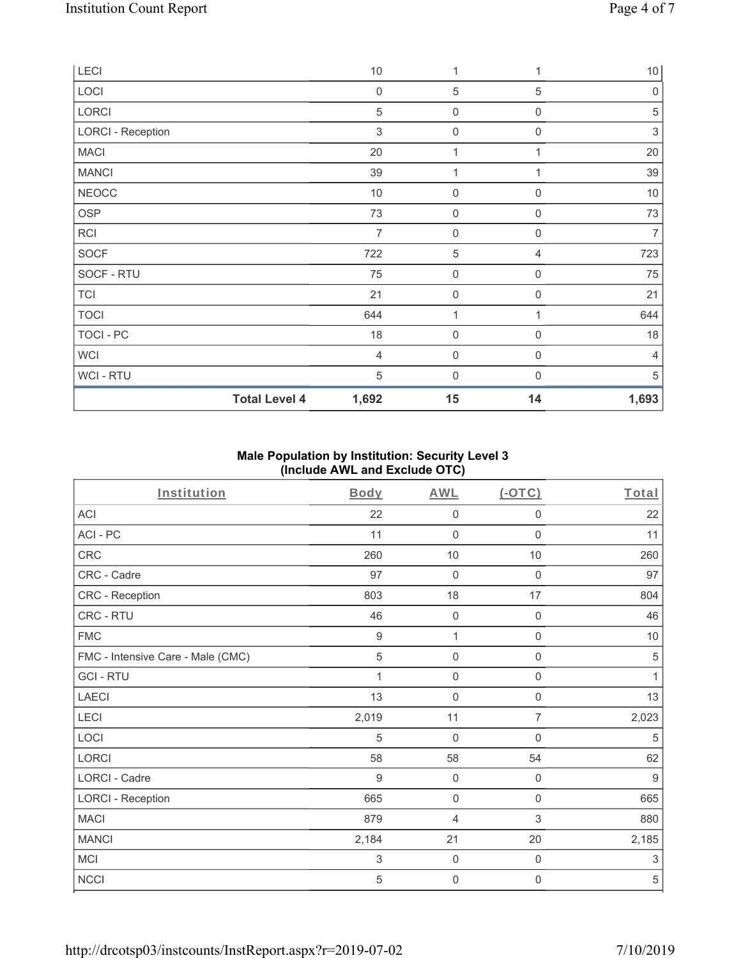| LECI                     | $10$             | 1                   |             | 10             |
|--------------------------|------------------|---------------------|-------------|----------------|
| LOCI                     | $\boldsymbol{0}$ | $\mathbf 5$         | 5           | $\mathbf 0$    |
| LORCI                    | 5                | 0                   | $\mathbf 0$ | $\mathbf 5$    |
| <b>LORCI - Reception</b> | 3                | $\boldsymbol{0}$    | $\mathbf 0$ | $\sqrt{3}$     |
| <b>MACI</b>              | 20               | 1                   |             | 20             |
| <b>MANCI</b>             | 39               | 1                   |             | 39             |
| <b>NEOCC</b>             | $10$             | $\boldsymbol{0}$    | $\mathbf 0$ | $10$           |
| <b>OSP</b>               | 73               | $\mathsf{O}\xspace$ | $\mathbf 0$ | 73             |
| <b>RCI</b>               | $\overline{7}$   | $\boldsymbol{0}$    | $\mathbf 0$ | $\overline{7}$ |
| <b>SOCF</b>              | 722              | $\mathbf 5$         | 4           | 723            |
| SOCF - RTU               | 75               | $\boldsymbol{0}$    | $\mathbf 0$ | 75             |
| <b>TCI</b>               | 21               | $\mathsf{O}\xspace$ | $\mathbf 0$ | 21             |
| <b>TOCI</b>              | 644              | 1                   | 1           | 644            |
| TOCI - PC                | 18               | $\mathsf{O}\xspace$ | $\mathbf 0$ | 18             |
| <b>WCI</b>               | $\overline{4}$   | $\mathsf{O}\xspace$ | $\mathbf 0$ | 4              |
| <b>WCI-RTU</b>           | 5                | $\mathbf 0$         | $\Omega$    | 5              |
| <b>Total Level 4</b>     | 1,692            | 15                  | 14          | 1,693          |

## **Male Population by Institution: Security Level 3 (Include AWL and Exclude OTC)**

| Institution                       | <b>Body</b>      | <b>AWL</b>          | (OTC)               | Total      |
|-----------------------------------|------------------|---------------------|---------------------|------------|
| ACI                               | 22               | $\mathbf 0$         | $\mathbf 0$         | 22         |
| ACI-PC                            | 11               | $\mathbf 0$         | $\mathbf 0$         | 11         |
| <b>CRC</b>                        | 260              | $10$                | $10$                | 260        |
| CRC - Cadre                       | 97               | $\mathbf 0$         | 0                   | 97         |
| CRC - Reception                   | 803              | 18                  | 17                  | 804        |
| CRC - RTU                         | 46               | 0                   | 0                   | 46         |
| <b>FMC</b>                        | $\boldsymbol{9}$ | $\mathbf{1}$        | $\mathsf 0$         | $10$       |
| FMC - Intensive Care - Male (CMC) | 5                | $\mathbf 0$         | $\mathbf 0$         | 5          |
| <b>GCI-RTU</b>                    | 1                | $\mathsf{O}\xspace$ | $\mathbf 0$         | 1          |
| <b>LAECI</b>                      | 13               | $\mathsf{O}\xspace$ | $\mathsf{O}\xspace$ | 13         |
| LECI                              | 2,019            | 11                  | 7                   | 2,023      |
| LOCI                              | 5                | $\overline{0}$      | 0                   | 5          |
| LORCI                             | 58               | 58                  | 54                  | 62         |
| LORCI - Cadre                     | 9                | $\mathbf 0$         | $\mathbf 0$         | 9          |
| <b>LORCI - Reception</b>          | 665              | $\mathbf 0$         | $\mathbf 0$         | 665        |
| <b>MACI</b>                       | 879              | 4                   | 3                   | 880        |
| <b>MANCI</b>                      | 2,184            | 21                  | 20                  | 2,185      |
| <b>MCI</b>                        | 3                | $\mathbf 0$         | 0                   | 3          |
| <b>NCCI</b>                       | 5                | $\overline{0}$      | $\mathbf 0$         | $\sqrt{5}$ |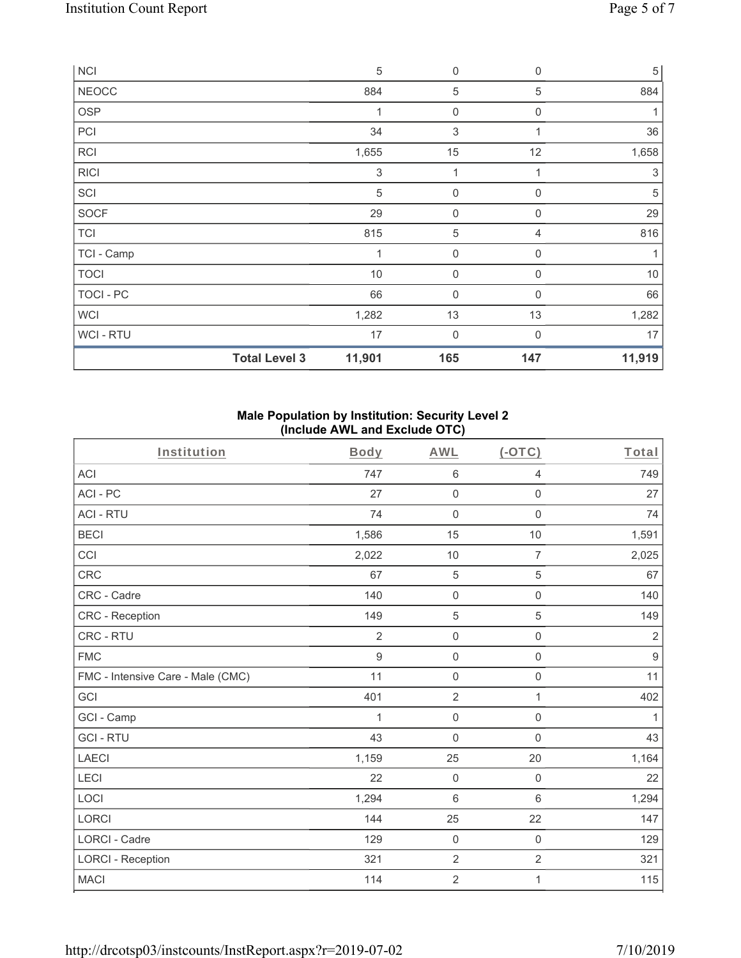| <b>NCI</b>     |                      | $\sqrt{5}$                | $\mathbf 0$      | $\Omega$         | $\sqrt{5}$ |
|----------------|----------------------|---------------------------|------------------|------------------|------------|
| <b>NEOCC</b>   |                      | 884                       | 5                | 5                | 884        |
| <b>OSP</b>     |                      |                           | $\boldsymbol{0}$ | 0                | 1          |
| PCI            |                      | 34                        | 3                | 1                | 36         |
| <b>RCI</b>     |                      | 1,655                     | 15               | 12               | 1,658      |
| <b>RICI</b>    |                      | $\ensuremath{\mathsf{3}}$ | $\mathbf{1}$     | 1                | $\sqrt{3}$ |
| SCI            |                      | $\sqrt{5}$                | $\boldsymbol{0}$ | 0                | $\sqrt{5}$ |
| SOCF           |                      | 29                        | $\mathbf 0$      | $\boldsymbol{0}$ | 29         |
| <b>TCI</b>     |                      | 815                       | $\mathbf 5$      | 4                | 816        |
| TCI - Camp     |                      | $\mathbf 1$               | $\mathbf 0$      | $\mathbf 0$      | 1          |
| <b>TOCI</b>    |                      | 10                        | $\mathbf 0$      | $\mathbf{0}$     | $10$       |
| TOCI - PC      |                      | 66                        | $\mathbf 0$      | $\Omega$         | 66         |
| <b>WCI</b>     |                      | 1,282                     | 13               | 13               | 1,282      |
| <b>WCI-RTU</b> |                      | 17                        | $\overline{0}$   | $\Omega$         | 17         |
|                | <b>Total Level 3</b> | 11,901                    | 165              | 147              | 11,919     |

#### **Male Population by Institution: Security Level 2 (Include AWL and Exclude OTC)**

| Institution                       | Body             | <b>AWL</b>          | $($ -OTC $)$        | Total          |
|-----------------------------------|------------------|---------------------|---------------------|----------------|
| <b>ACI</b>                        | 747              | 6                   | $\overline{4}$      | 749            |
| ACI-PC                            | 27               | $\mathsf{O}\xspace$ | $\mathbf 0$         | 27             |
| <b>ACI - RTU</b>                  | 74               | $\mathbf 0$         | $\mathbf 0$         | 74             |
| <b>BECI</b>                       | 1,586            | 15                  | 10                  | 1,591          |
| CCI                               | 2,022            | 10                  | 7                   | 2,025          |
| CRC                               | 67               | 5                   | 5                   | 67             |
| CRC - Cadre                       | 140              | $\mathbf 0$         | $\mathsf 0$         | 140            |
| <b>CRC</b> - Reception            | 149              | $\mathbf 5$         | $\mathbf 5$         | 149            |
| CRC - RTU                         | $\overline{2}$   | $\mathbf 0$         | $\mathbf 0$         | $\overline{2}$ |
| <b>FMC</b>                        | $\boldsymbol{9}$ | $\mathbf 0$         | $\mathsf 0$         | $9\,$          |
| FMC - Intensive Care - Male (CMC) | 11               | $\mathbf 0$         | $\mathsf{O}\xspace$ | 11             |
| GCI                               | 401              | $\overline{2}$      | 1                   | 402            |
| GCI - Camp                        | 1                | $\mathbf 0$         | $\mathbf 0$         | 1              |
| <b>GCI-RTU</b>                    | 43               | $\mathbf 0$         | $\mathsf 0$         | 43             |
| <b>LAECI</b>                      | 1,159            | 25                  | 20                  | 1,164          |
| LECI                              | 22               | $\mathsf{O}\xspace$ | $\mathsf 0$         | 22             |
| LOCI                              | 1,294            | $6\phantom{1}$      | $\,6$               | 1,294          |
| <b>LORCI</b>                      | 144              | 25                  | 22                  | 147            |
| <b>LORCI - Cadre</b>              | 129              | $\mathbf 0$         | $\mathsf 0$         | 129            |
| <b>LORCI - Reception</b>          | 321              | $\overline{2}$      | $\overline{2}$      | 321            |
| <b>MACI</b>                       | 114              | $\sqrt{2}$          | 1                   | 115            |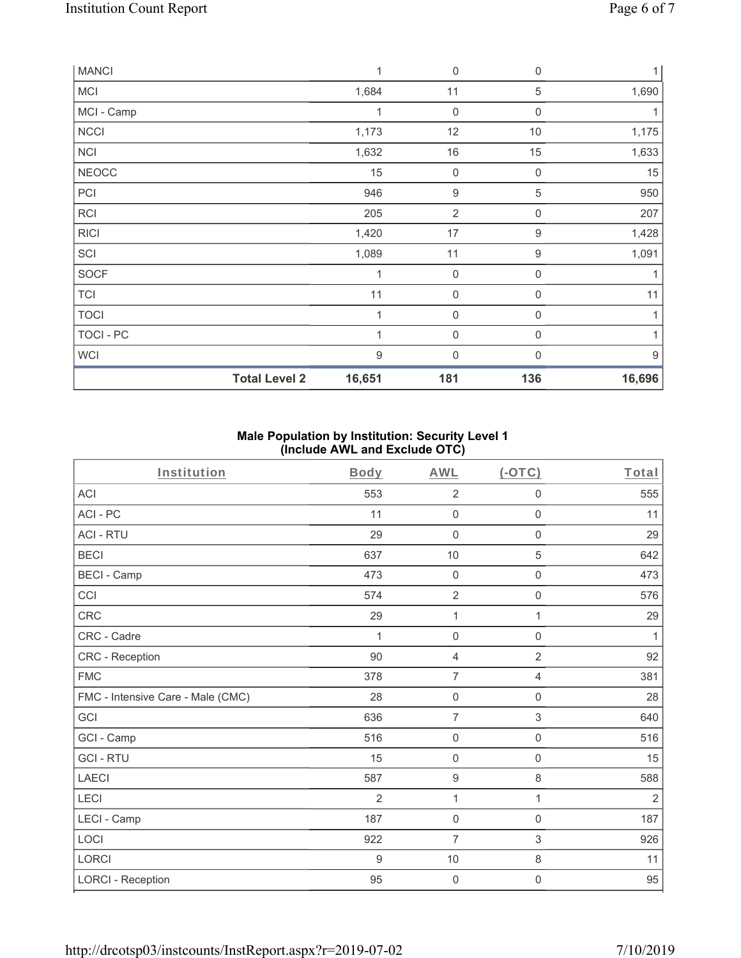| <b>MANCI</b> |                      | 1      | $\mathbf 0$      | $\mathbf 0$      | $1\vert$         |
|--------------|----------------------|--------|------------------|------------------|------------------|
| <b>MCI</b>   |                      | 1,684  | 11               | 5                | 1,690            |
| MCI - Camp   |                      | 1      | $\mathbf 0$      | 0                |                  |
| <b>NCCI</b>  |                      | 1,173  | 12               | 10               | 1,175            |
| <b>NCI</b>   |                      | 1,632  | $16$             | 15               | 1,633            |
| <b>NEOCC</b> |                      | 15     | $\mathbf 0$      | $\mathbf 0$      | 15               |
| PCI          |                      | 946    | $\boldsymbol{9}$ | 5                | 950              |
| <b>RCI</b>   |                      | 205    | $\overline{2}$   | $\boldsymbol{0}$ | 207              |
| <b>RICI</b>  |                      | 1,420  | $17$             | $\boldsymbol{9}$ | 1,428            |
| SCI          |                      | 1,089  | 11               | 9                | 1,091            |
| SOCF         |                      | 1      | $\mathbf 0$      | $\mathbf 0$      | 1                |
| <b>TCI</b>   |                      | 11     | $\mathbf 0$      | $\Omega$         | 11               |
| <b>TOCI</b>  |                      |        | $\boldsymbol{0}$ | 0                | 1                |
| TOCI - PC    |                      | 1      | $\mathbf 0$      | $\mathbf 0$      | 1                |
| <b>WCI</b>   |                      | 9      | $\mathbf 0$      | $\Omega$         | $\boldsymbol{9}$ |
|              | <b>Total Level 2</b> | 16,651 | 181              | 136              | 16,696           |

## **Male Population by Institution: Security Level 1 (Include AWL and Exclude OTC)**

| Institution                       | Body  | <b>AWL</b>          | $(-OTC)$            | Total        |
|-----------------------------------|-------|---------------------|---------------------|--------------|
| <b>ACI</b>                        | 553   | $\overline{2}$      | 0                   | 555          |
| ACI-PC                            | 11    | $\mathsf{O}\xspace$ | $\mathsf{O}\xspace$ | 11           |
| <b>ACI - RTU</b>                  | 29    | $\mathsf{O}\xspace$ | $\boldsymbol{0}$    | 29           |
| <b>BECI</b>                       | 637   | 10                  | 5                   | 642          |
| <b>BECI - Camp</b>                | 473   | $\mathsf{O}\xspace$ | $\mathsf{O}\xspace$ | 473          |
| CCI                               | 574   | $\overline{2}$      | $\mathsf{O}\xspace$ | 576          |
| CRC                               | 29    | 1                   | 1                   | 29           |
| CRC - Cadre                       | 1     | $\mathbf 0$         | $\mathbf 0$         | $\mathbf{1}$ |
| CRC - Reception                   | 90    | $\overline{4}$      | $\overline{2}$      | 92           |
| <b>FMC</b>                        | 378   | $\overline{7}$      | $\overline{4}$      | 381          |
| FMC - Intensive Care - Male (CMC) | 28    | $\mathsf{O}\xspace$ | $\mathsf{O}\xspace$ | 28           |
| GCI                               | 636   | $\overline{7}$      | $\,$ 3 $\,$         | 640          |
| GCI - Camp                        | 516   | $\mathsf{O}\xspace$ | $\mathsf{O}\xspace$ | 516          |
| <b>GCI-RTU</b>                    | 15    | $\mathsf{O}\xspace$ | $\mathsf{O}\xspace$ | 15           |
| <b>LAECI</b>                      | 587   | $\boldsymbol{9}$    | $\,8\,$             | 588          |
| LECI                              | 2     | 1                   | $\mathbf{1}$        | $\sqrt{2}$   |
| LECI - Camp                       | 187   | $\mathsf{O}\xspace$ | $\mathsf 0$         | 187          |
| LOCI                              | 922   | $\overline{7}$      | 3                   | 926          |
| LORCI                             | $9\,$ | 10                  | $\,8\,$             | 11           |
| <b>LORCI - Reception</b>          | 95    | $\mathsf{O}\xspace$ | 0                   | 95           |